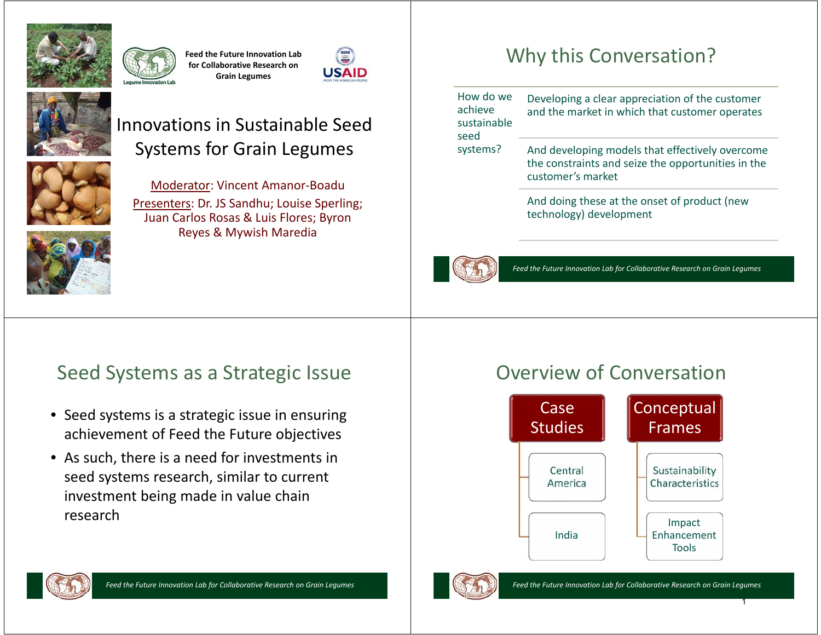

**Feed the Future Innovation Lab for Collaborative Research on Grain Legumes**





### Innovations in Sustainable Seed Systems for Grain Legumes



Moderator: Vincent Amanor-Boadu Presenters: Dr. JS Sandhu; Louise Sperling; Juan Carlos Rosas & Luis Flores; Byron Reyes & Mywish Maredia

## Why this Conversation?

How do we achieve sustainable systems? Developing a clear appreciation of the customer and the market in which that customer operates

And developing models that effectively overcome the constraints and seize the opportunities in the customer's market

And doing these at the onset of product (new technology) development



seed

*Feed the Future Innovation Lab for Collaborative Research on Grain Legumes*

#### Seed Systems as a Strategic Issue

- Seed systems is a strategic issue in ensuring achievement of Feed the Future objectives
- As such, there is a need for investments in seed systems research, similar to current investment being made in value chain research

#### Overview of Conversation







1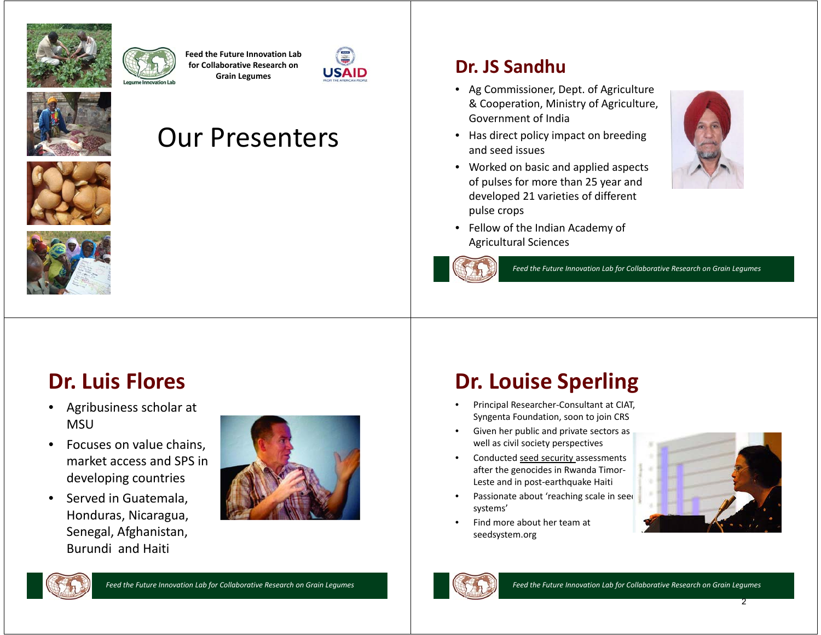



**Feed the Future Innovation Lab for Collaborative Research on Grain Legumes**





# Our Presenters





#### **Dr. JS Sandhu**

- Ag Commissioner, Dept. of Agriculture & Cooperation, Ministry of Agriculture, Government of India
- Has direct policy impact on breeding and seed issues
- Worked on basic and applied aspects of pulses for more than 25 year and developed 21 varieties of different pulse crops



• Fellow of the Indian Academy of Agricultural Sciences



*Feed the Future Innovation Lab for Collaborative Research on Grain Legumes*

## **Dr. Luis Flores**

- $\bullet$  Agribusiness scholar at MSU
- $\bullet$  Focuses on value chains, market access and SPS in developing countries
- $\bullet$  Served in Guatemala, Honduras, Nicaragua, Senegal, Afghanistan, Burundi and Haiti



# **Dr. Louise Sperling**

- • Principal Researcher-Consultant at CIAT, Syngenta Foundation, soon to join CRS
- • Given her public and private sectors as well as civil society perspectives
- • Conducted seed security assessments after the genocides in Rwanda Timor-Leste and in post-earthquake Haiti
- •Passionate about 'reaching scale in seed systems'
- • Find more about her team at seedsystem.org





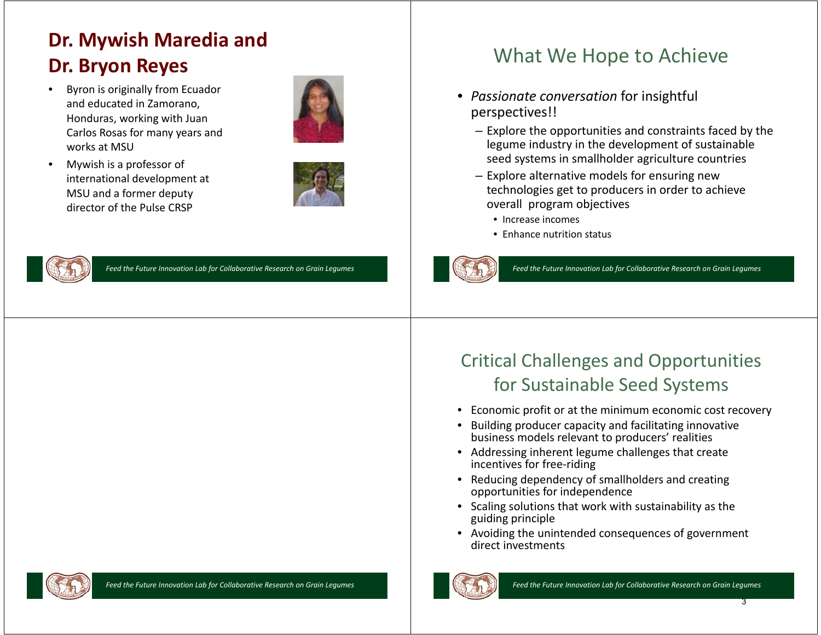## **Dr. Mywish Maredia and Dr. Bryon Reyes**

- $\bullet$  Byron is originally from Ecuador and educated in Zamorano, Honduras, working with Juan Carlos Rosas for many years and works at MSU
- • Mywish is a professor of international development at MSU and a former deputy director of the Pulse CRSP







*Feed the Future Innovation Lab for Collaborative Research on Grain Legumes*

## What We Hope to Achieve

- *Passionate conversation* for insightful perspectives!!
	- Explore the opportunities and constraints faced by the legume industry in the development of sustainable seed systems in smallholder agriculture countries
	- Explore alternative models for ensuring new technologies get to producers in order to achieve overall program objectives
		- Increase incomes
		- Enhance nutrition status



*Feed the Future Innovation Lab for Collaborative Research on Grain Legumes*

#### Critical Challenges and Opportunities for Sustainable Seed Systems

- •Economic profit or at the minimum economic cost recovery
- • Building producer capacity and facilitating innovative business models relevant to producers' realities
- Addressing inherent legume challenges that create incentives for free-riding
- Reducing dependency of smallholders and creating opportunities for independence
- Scaling solutions that work with sustainability as the guiding principle
- Avoiding the unintended consequences of government direct investments



*Feed the Future Innovation Lab for Collaborative Research on Grain Legumes Feed the Future Innovation Lab for Collaborative Research on Grain Legumes*